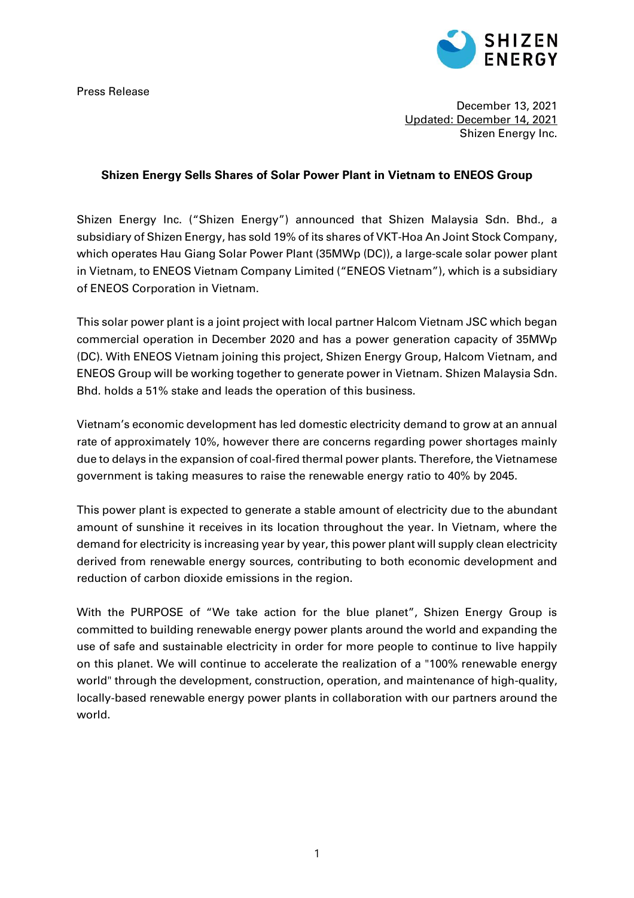Press Release



December 13, 2021 Updated: December 14, 2021 Shizen Energy Inc.

### **Shizen Energy Sells Shares of Solar Power Plant in Vietnam to ENEOS Group**

Shizen Energy Inc. ("Shizen Energy") announced that Shizen Malaysia Sdn. Bhd., a subsidiary of Shizen Energy, has sold 19% of its shares of VKT-Hoa An Joint Stock Company, which operates Hau Giang Solar Power Plant (35MWp (DC)), a large-scale solar power plant in Vietnam, to ENEOS Vietnam Company Limited ("ENEOS Vietnam"), which is a subsidiary of ENEOS Corporation in Vietnam.

This solar power plant is a joint project with local partner Halcom Vietnam JSC which began commercial operation in December 2020 and has a power generation capacity of 35MWp (DC). With ENEOS Vietnam joining this project, Shizen Energy Group, Halcom Vietnam, and ENEOS Group will be working together to generate power in Vietnam. Shizen Malaysia Sdn. Bhd. holds a 51% stake and leads the operation of this business.

Vietnam's economic development has led domestic electricity demand to grow at an annual rate of approximately 10%, however there are concerns regarding power shortages mainly due to delays in the expansion of coal-fired thermal power plants. Therefore, the Vietnamese government is taking measures to raise the renewable energy ratio to 40% by 2045.

This power plant is expected to generate a stable amount of electricity due to the abundant amount of sunshine it receives in its location throughout the year. In Vietnam, where the demand for electricity is increasing year by year, this power plant will supply clean electricity derived from renewable energy sources, contributing to both economic development and reduction of carbon dioxide emissions in the region.

With the PURPOSE of "We take action for the blue planet", Shizen Energy Group is committed to building renewable energy power plants around the world and expanding the use of safe and sustainable electricity in order for more people to continue to live happily on this planet. We will continue to accelerate the realization of a "100% renewable energy world" through the development, construction, operation, and maintenance of high-quality, locally-based renewable energy power plants in collaboration with our partners around the world.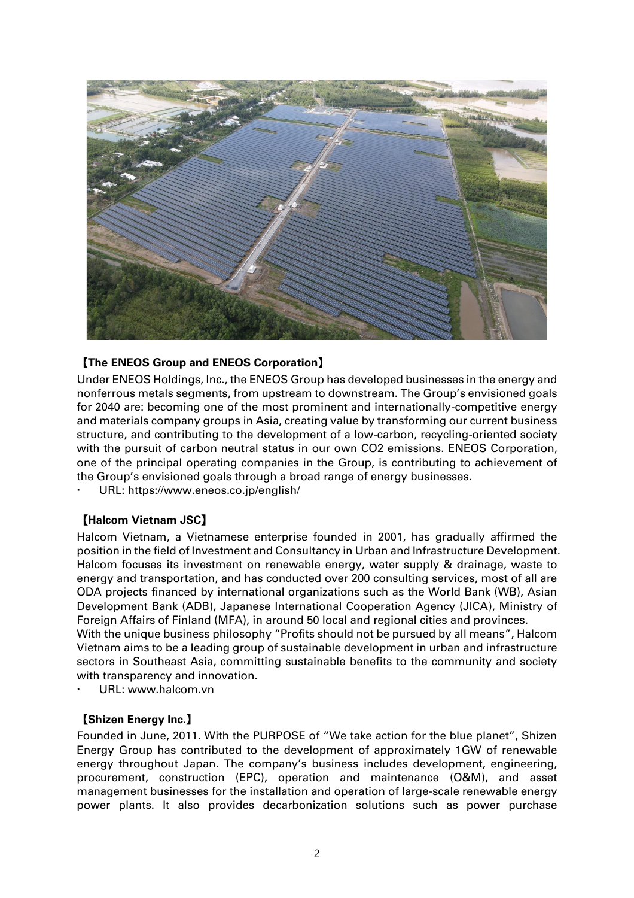

# 【**The ENEOS Group and ENEOS Corporation**】

Under ENEOS Holdings, Inc., the ENEOS Group has developed businesses in the energy and nonferrous metals segments, from upstream to downstream. The Group's envisioned goals for 2040 are: becoming one of the most prominent and internationally-competitive energy and materials company groups in Asia, creating value by transforming our current business structure, and contributing to the development of a low-carbon, recycling-oriented society with the pursuit of carbon neutral status in our own CO2 emissions. ENEOS Corporation, one of the principal operating companies in the Group, is contributing to achievement of the Group's envisioned goals through a broad range of energy businesses.

URL: https://www.eneos.co.jp/english/

# 【**Halcom Vietnam JSC**】

Halcom Vietnam, a Vietnamese enterprise founded in 2001, has gradually affirmed the position in the field of Investment and Consultancy in Urban and Infrastructure Development. Halcom focuses its investment on renewable energy, water supply & drainage, waste to energy and transportation, and has conducted over 200 consulting services, most of all are ODA projects financed by international organizations such as the World Bank (WB), Asian Development Bank (ADB), Japanese International Cooperation Agency (JICA), Ministry of Foreign Affairs of Finland (MFA), in around 50 local and regional cities and provinces.

With the unique business philosophy "Profits should not be pursued by all means", Halcom Vietnam aims to be a leading group of sustainable development in urban and infrastructure sectors in Southeast Asia, committing sustainable benefits to the community and society with transparency and innovation.

URL: www.halcom.vn

#### 【**Shizen Energy Inc.**】

Founded in June, 2011. With the PURPOSE of "We take action for the blue planet", Shizen Energy Group has contributed to the development of approximately 1GW of renewable energy throughout Japan. The company's business includes development, engineering, procurement, construction (EPC), operation and maintenance (O&M), and asset management businesses for the installation and operation of large-scale renewable energy power plants. It also provides decarbonization solutions such as power purchase